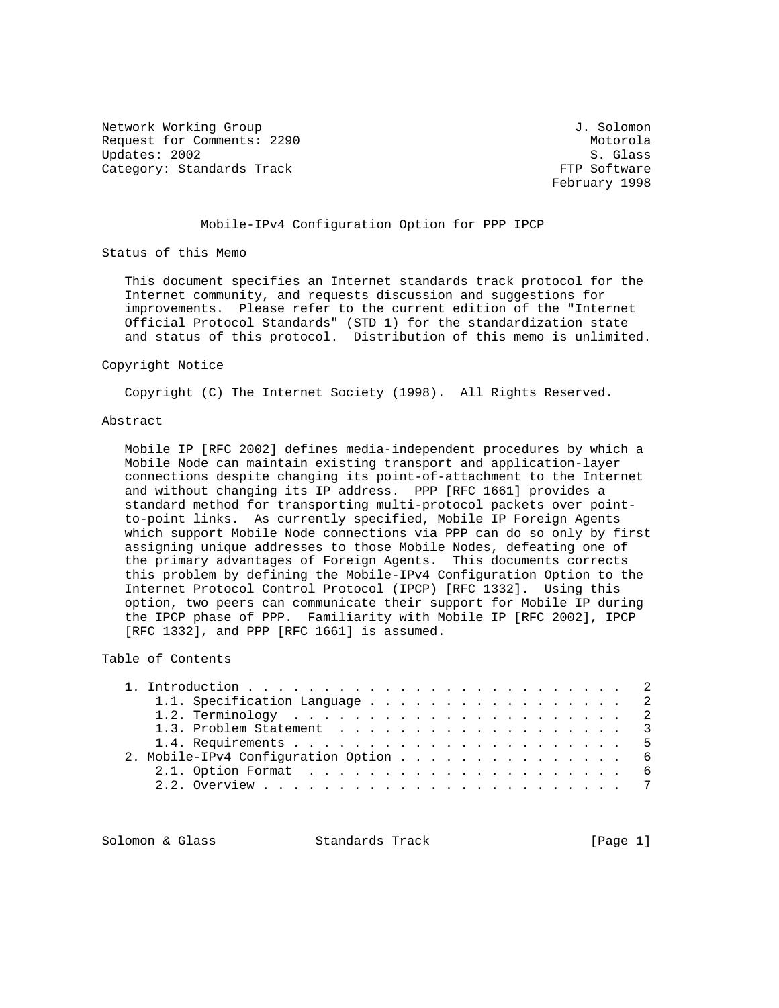Network Working Group J. Solomon Request for Comments: 2290<br>
Updates: 2002<br>
S. Glass Updates: 2002 S. Glass Category: Standards Track

February 1998

## Mobile-IPv4 Configuration Option for PPP IPCP

Status of this Memo

 This document specifies an Internet standards track protocol for the Internet community, and requests discussion and suggestions for improvements. Please refer to the current edition of the "Internet Official Protocol Standards" (STD 1) for the standardization state and status of this protocol. Distribution of this memo is unlimited.

#### Copyright Notice

Copyright (C) The Internet Society (1998). All Rights Reserved.

## Abstract

 Mobile IP [RFC 2002] defines media-independent procedures by which a Mobile Node can maintain existing transport and application-layer connections despite changing its point-of-attachment to the Internet and without changing its IP address. PPP [RFC 1661] provides a standard method for transporting multi-protocol packets over point to-point links. As currently specified, Mobile IP Foreign Agents which support Mobile Node connections via PPP can do so only by first assigning unique addresses to those Mobile Nodes, defeating one of the primary advantages of Foreign Agents. This documents corrects this problem by defining the Mobile-IPv4 Configuration Option to the Internet Protocol Control Protocol (IPCP) [RFC 1332]. Using this option, two peers can communicate their support for Mobile IP during the IPCP phase of PPP. Familiarity with Mobile IP [RFC 2002], IPCP [RFC 1332], and PPP [RFC 1661] is assumed.

## Table of Contents

|  |                                       | 1.1. Specification Language 2 |  |
|--|---------------------------------------|-------------------------------|--|
|  |                                       |                               |  |
|  |                                       | 1.3. Problem Statement 3      |  |
|  |                                       |                               |  |
|  | 2. Mobile-IPv4 Configuration Option 6 |                               |  |
|  |                                       |                               |  |
|  |                                       |                               |  |
|  |                                       |                               |  |

Solomon & Glass Standards Track [Page 1]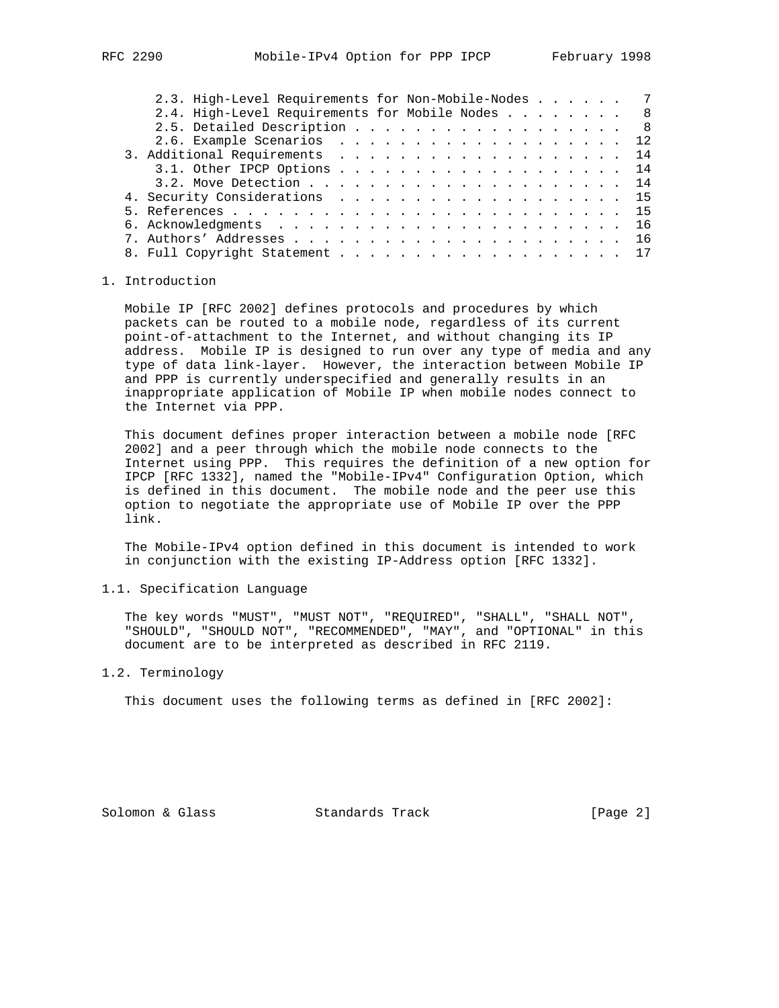|  | 2.3. High-Level Requirements for Non-Mobile-Nodes 7 |  |  |  |  |  |  |  |  |  |  |     |
|--|-----------------------------------------------------|--|--|--|--|--|--|--|--|--|--|-----|
|  | 2.4. High-Level Requirements for Mobile Nodes 8     |  |  |  |  |  |  |  |  |  |  |     |
|  | 2.5. Detailed Description                           |  |  |  |  |  |  |  |  |  |  | - 8 |
|  | 2.6. Example Scenarios 12                           |  |  |  |  |  |  |  |  |  |  |     |
|  | 3. Additional Requirements 14                       |  |  |  |  |  |  |  |  |  |  |     |
|  | 3.1. Other IPCP Options 14                          |  |  |  |  |  |  |  |  |  |  |     |
|  |                                                     |  |  |  |  |  |  |  |  |  |  |     |
|  | 4. Security Considerations 15                       |  |  |  |  |  |  |  |  |  |  |     |
|  |                                                     |  |  |  |  |  |  |  |  |  |  |     |
|  |                                                     |  |  |  |  |  |  |  |  |  |  |     |
|  |                                                     |  |  |  |  |  |  |  |  |  |  |     |
|  |                                                     |  |  |  |  |  |  |  |  |  |  |     |
|  |                                                     |  |  |  |  |  |  |  |  |  |  |     |

## 1. Introduction

 Mobile IP [RFC 2002] defines protocols and procedures by which packets can be routed to a mobile node, regardless of its current point-of-attachment to the Internet, and without changing its IP address. Mobile IP is designed to run over any type of media and any type of data link-layer. However, the interaction between Mobile IP and PPP is currently underspecified and generally results in an inappropriate application of Mobile IP when mobile nodes connect to the Internet via PPP.

 This document defines proper interaction between a mobile node [RFC 2002] and a peer through which the mobile node connects to the Internet using PPP. This requires the definition of a new option for IPCP [RFC 1332], named the "Mobile-IPv4" Configuration Option, which is defined in this document. The mobile node and the peer use this option to negotiate the appropriate use of Mobile IP over the PPP link.

 The Mobile-IPv4 option defined in this document is intended to work in conjunction with the existing IP-Address option [RFC 1332].

## 1.1. Specification Language

 The key words "MUST", "MUST NOT", "REQUIRED", "SHALL", "SHALL NOT", "SHOULD", "SHOULD NOT", "RECOMMENDED", "MAY", and "OPTIONAL" in this document are to be interpreted as described in RFC 2119.

## 1.2. Terminology

This document uses the following terms as defined in [RFC 2002]:

Solomon & Glass Standards Track [Page 2]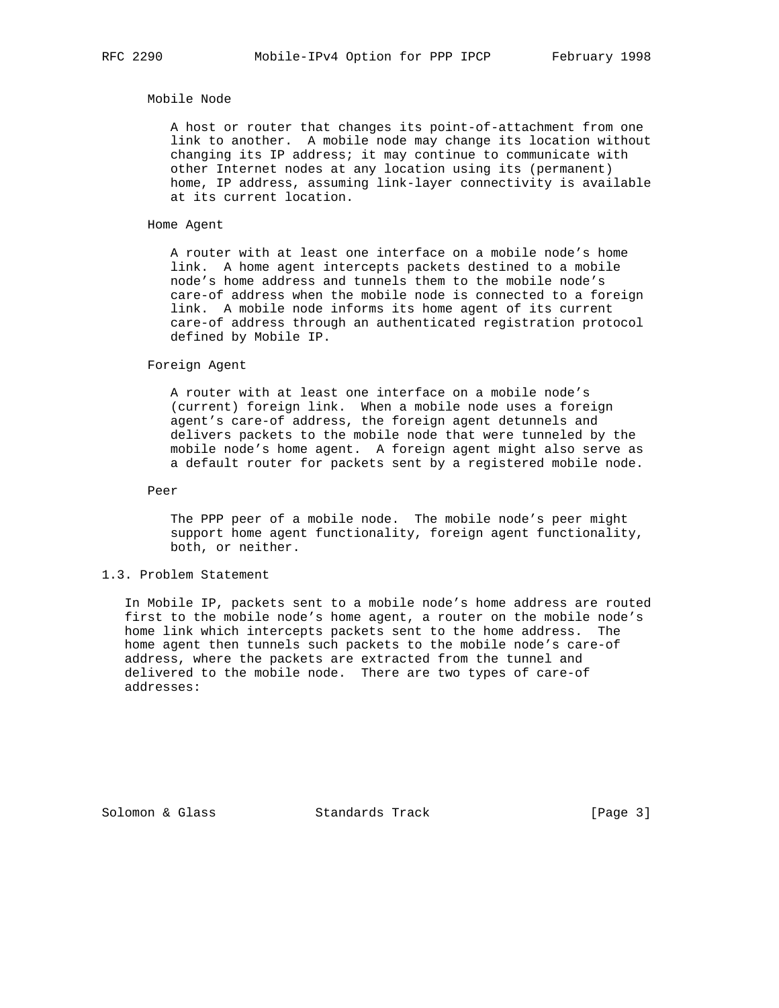#### Mobile Node

 A host or router that changes its point-of-attachment from one link to another. A mobile node may change its location without changing its IP address; it may continue to communicate with other Internet nodes at any location using its (permanent) home, IP address, assuming link-layer connectivity is available at its current location.

## Home Agent

 A router with at least one interface on a mobile node's home link. A home agent intercepts packets destined to a mobile node's home address and tunnels them to the mobile node's care-of address when the mobile node is connected to a foreign link. A mobile node informs its home agent of its current care-of address through an authenticated registration protocol defined by Mobile IP.

#### Foreign Agent

 A router with at least one interface on a mobile node's (current) foreign link. When a mobile node uses a foreign agent's care-of address, the foreign agent detunnels and delivers packets to the mobile node that were tunneled by the mobile node's home agent. A foreign agent might also serve as a default router for packets sent by a registered mobile node.

Peer

 The PPP peer of a mobile node. The mobile node's peer might support home agent functionality, foreign agent functionality, both, or neither.

## 1.3. Problem Statement

 In Mobile IP, packets sent to a mobile node's home address are routed first to the mobile node's home agent, a router on the mobile node's home link which intercepts packets sent to the home address. The home agent then tunnels such packets to the mobile node's care-of address, where the packets are extracted from the tunnel and delivered to the mobile node. There are two types of care-of addresses:

Solomon & Glass Standards Track [Page 3]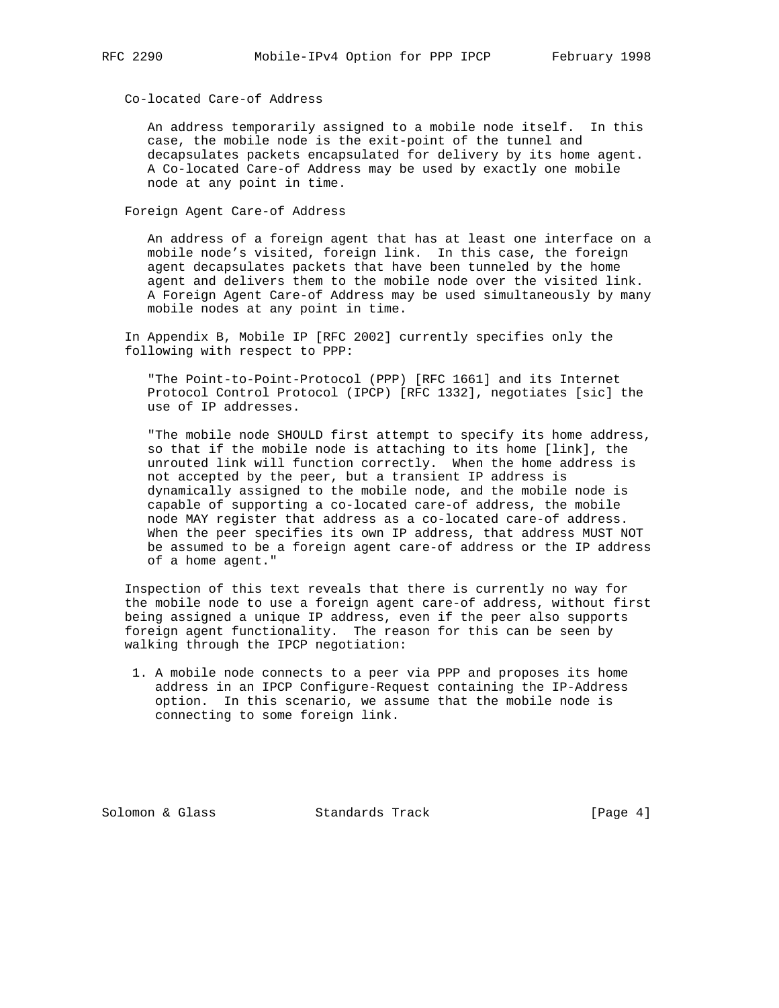Co-located Care-of Address

 An address temporarily assigned to a mobile node itself. In this case, the mobile node is the exit-point of the tunnel and decapsulates packets encapsulated for delivery by its home agent. A Co-located Care-of Address may be used by exactly one mobile node at any point in time.

Foreign Agent Care-of Address

 An address of a foreign agent that has at least one interface on a mobile node's visited, foreign link. In this case, the foreign agent decapsulates packets that have been tunneled by the home agent and delivers them to the mobile node over the visited link. A Foreign Agent Care-of Address may be used simultaneously by many mobile nodes at any point in time.

 In Appendix B, Mobile IP [RFC 2002] currently specifies only the following with respect to PPP:

 "The Point-to-Point-Protocol (PPP) [RFC 1661] and its Internet Protocol Control Protocol (IPCP) [RFC 1332], negotiates [sic] the use of IP addresses.

 "The mobile node SHOULD first attempt to specify its home address, so that if the mobile node is attaching to its home [link], the unrouted link will function correctly. When the home address is not accepted by the peer, but a transient IP address is dynamically assigned to the mobile node, and the mobile node is capable of supporting a co-located care-of address, the mobile node MAY register that address as a co-located care-of address. When the peer specifies its own IP address, that address MUST NOT be assumed to be a foreign agent care-of address or the IP address of a home agent."

 Inspection of this text reveals that there is currently no way for the mobile node to use a foreign agent care-of address, without first being assigned a unique IP address, even if the peer also supports foreign agent functionality. The reason for this can be seen by walking through the IPCP negotiation:

 1. A mobile node connects to a peer via PPP and proposes its home address in an IPCP Configure-Request containing the IP-Address option. In this scenario, we assume that the mobile node is connecting to some foreign link.

Solomon & Glass Standards Track [Page 4]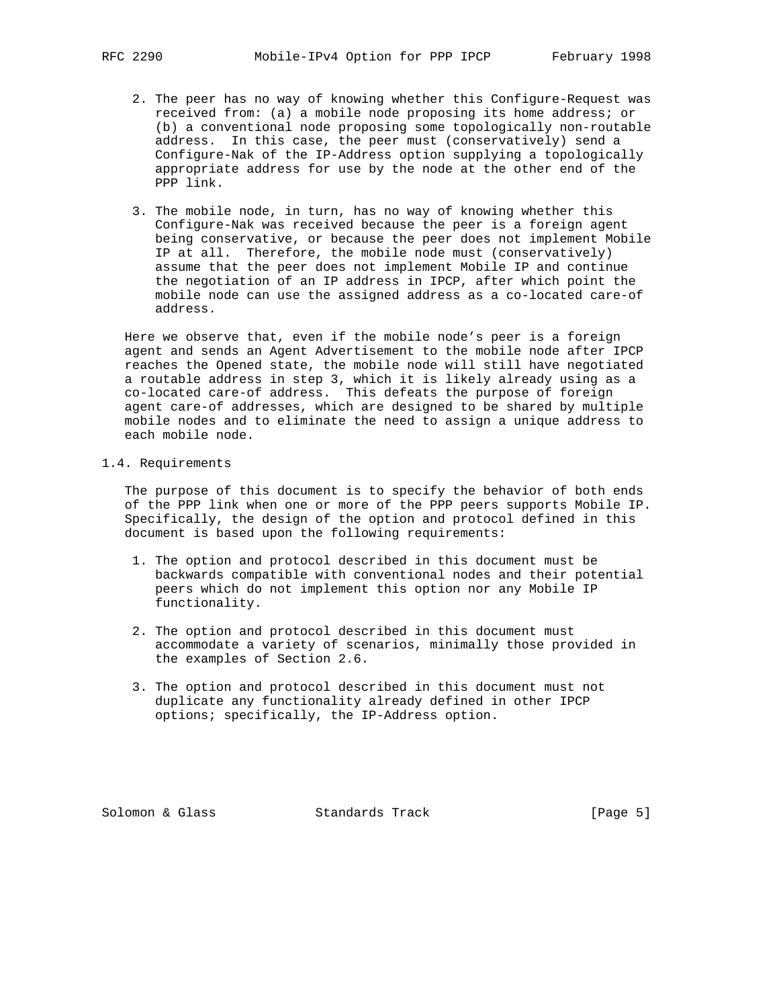- 2. The peer has no way of knowing whether this Configure-Request was received from: (a) a mobile node proposing its home address; or (b) a conventional node proposing some topologically non-routable address. In this case, the peer must (conservatively) send a Configure-Nak of the IP-Address option supplying a topologically appropriate address for use by the node at the other end of the PPP link.
- 3. The mobile node, in turn, has no way of knowing whether this Configure-Nak was received because the peer is a foreign agent being conservative, or because the peer does not implement Mobile IP at all. Therefore, the mobile node must (conservatively) assume that the peer does not implement Mobile IP and continue the negotiation of an IP address in IPCP, after which point the mobile node can use the assigned address as a co-located care-of address.

 Here we observe that, even if the mobile node's peer is a foreign agent and sends an Agent Advertisement to the mobile node after IPCP reaches the Opened state, the mobile node will still have negotiated a routable address in step 3, which it is likely already using as a co-located care-of address. This defeats the purpose of foreign agent care-of addresses, which are designed to be shared by multiple mobile nodes and to eliminate the need to assign a unique address to each mobile node.

#### 1.4. Requirements

 The purpose of this document is to specify the behavior of both ends of the PPP link when one or more of the PPP peers supports Mobile IP. Specifically, the design of the option and protocol defined in this document is based upon the following requirements:

- 1. The option and protocol described in this document must be backwards compatible with conventional nodes and their potential peers which do not implement this option nor any Mobile IP functionality.
- 2. The option and protocol described in this document must accommodate a variety of scenarios, minimally those provided in the examples of Section 2.6.
- 3. The option and protocol described in this document must not duplicate any functionality already defined in other IPCP options; specifically, the IP-Address option.

Solomon & Glass Standards Track [Page 5]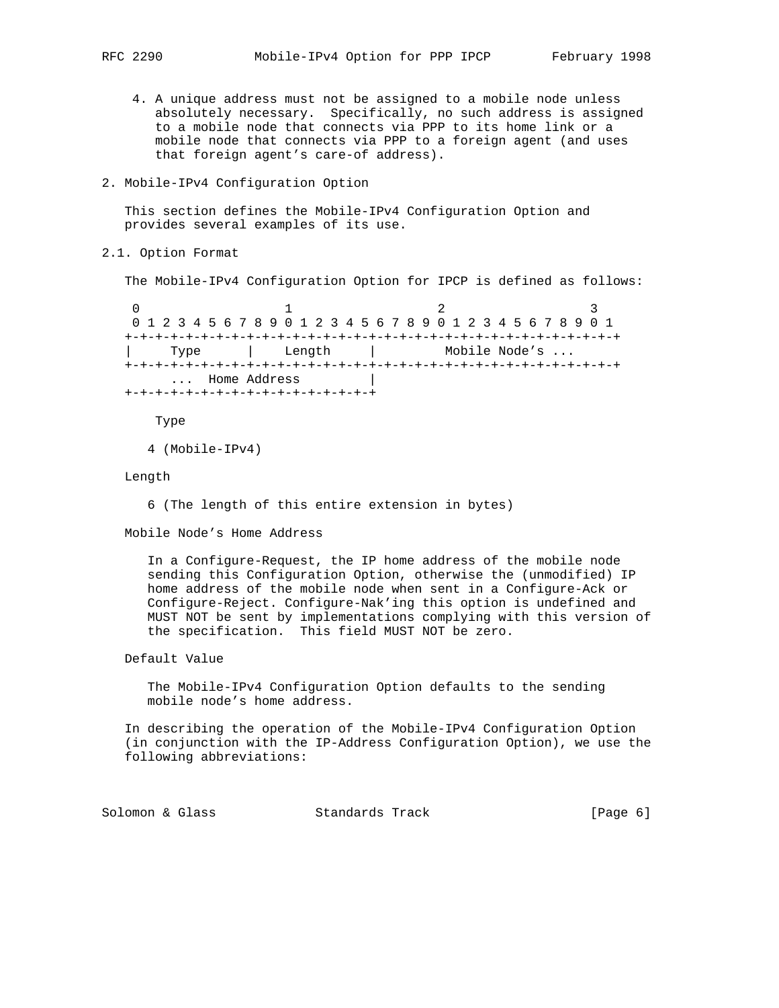- 4. A unique address must not be assigned to a mobile node unless absolutely necessary. Specifically, no such address is assigned to a mobile node that connects via PPP to its home link or a mobile node that connects via PPP to a foreign agent (and uses that foreign agent's care-of address).
- 2. Mobile-IPv4 Configuration Option

 This section defines the Mobile-IPv4 Configuration Option and provides several examples of its use.

2.1. Option Format

The Mobile-IPv4 Configuration Option for IPCP is defined as follows:

0  $1$  2 3 0 1 2 3 4 5 6 7 8 9 0 1 2 3 4 5 6 7 8 9 0 1 2 3 4 5 6 7 8 9 0 1 +-+-+-+-+-+-+-+-+-+-+-+-+-+-+-+-+-+-+-+-+-+-+-+-+-+-+-+-+-+-+-+-+ | Type | Length | Mobile Node's ... +-+-+-+-+-+-+-+-+-+-+-+-+-+-+-+-+-+-+-+-+-+-+-+-+-+-+-+-+-+-+-+-+ ... Home Address +-+-+-+-+-+-+-+-+-+-+-+-+-+-+-+-+

Type

```
 4 (Mobile-IPv4)
```
Length

6 (The length of this entire extension in bytes)

Mobile Node's Home Address

 In a Configure-Request, the IP home address of the mobile node sending this Configuration Option, otherwise the (unmodified) IP home address of the mobile node when sent in a Configure-Ack or Configure-Reject. Configure-Nak'ing this option is undefined and MUST NOT be sent by implementations complying with this version of the specification. This field MUST NOT be zero.

## Default Value

 The Mobile-IPv4 Configuration Option defaults to the sending mobile node's home address.

 In describing the operation of the Mobile-IPv4 Configuration Option (in conjunction with the IP-Address Configuration Option), we use the following abbreviations:

Solomon & Glass Standards Track [Page 6]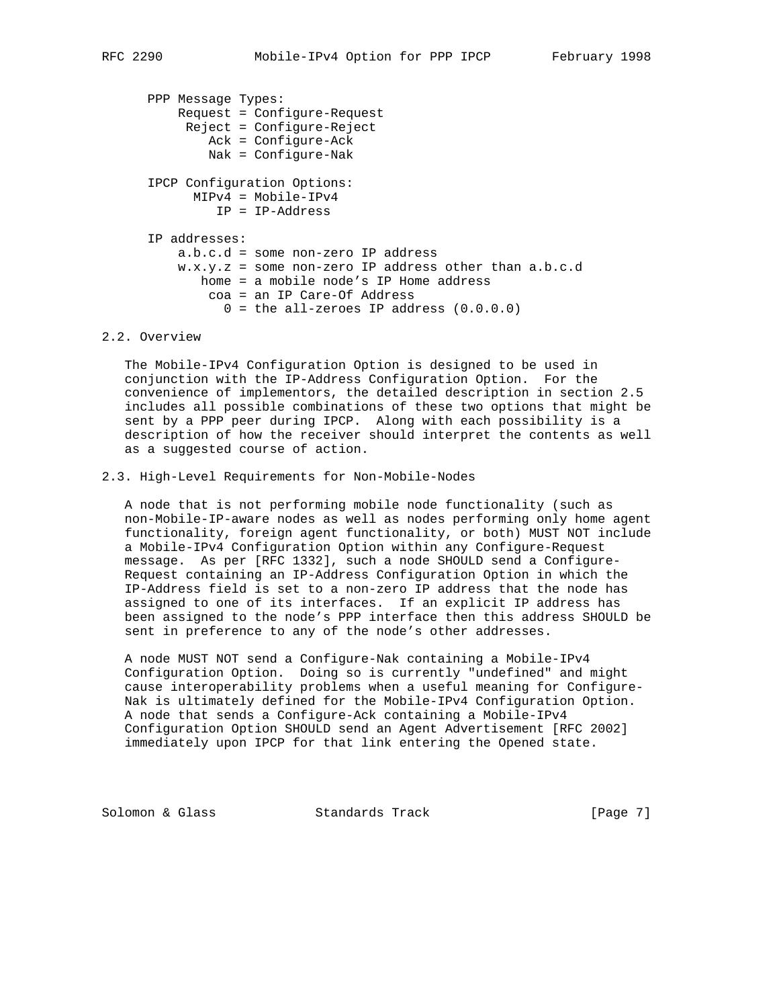```
 PPP Message Types:
     Request = Configure-Request
     Reject = Configure-Reject
         Ack = Configure-Ack
        Nak = Configure-Nak
 IPCP Configuration Options:
      MIPv4 = Mobile-IPv4
          IP = IP-Address
 IP addresses:
    a.b.c.d = some non-zero IP address
     w.x.y.z = some non-zero IP address other than a.b.c.d
        home = a mobile node's IP Home address
         coa = an IP Care-Of Address
         0 = the all-zeroes IP address (0.0.0.0)
```
## 2.2. Overview

 The Mobile-IPv4 Configuration Option is designed to be used in conjunction with the IP-Address Configuration Option. For the convenience of implementors, the detailed description in section 2.5 includes all possible combinations of these two options that might be sent by a PPP peer during IPCP. Along with each possibility is a description of how the receiver should interpret the contents as well as a suggested course of action.

## 2.3. High-Level Requirements for Non-Mobile-Nodes

 A node that is not performing mobile node functionality (such as non-Mobile-IP-aware nodes as well as nodes performing only home agent functionality, foreign agent functionality, or both) MUST NOT include a Mobile-IPv4 Configuration Option within any Configure-Request message. As per [RFC 1332], such a node SHOULD send a Configure- Request containing an IP-Address Configuration Option in which the IP-Address field is set to a non-zero IP address that the node has assigned to one of its interfaces. If an explicit IP address has been assigned to the node's PPP interface then this address SHOULD be sent in preference to any of the node's other addresses.

 A node MUST NOT send a Configure-Nak containing a Mobile-IPv4 Configuration Option. Doing so is currently "undefined" and might cause interoperability problems when a useful meaning for Configure- Nak is ultimately defined for the Mobile-IPv4 Configuration Option. A node that sends a Configure-Ack containing a Mobile-IPv4 Configuration Option SHOULD send an Agent Advertisement [RFC 2002] immediately upon IPCP for that link entering the Opened state.

Solomon & Glass Standards Track [Page 7]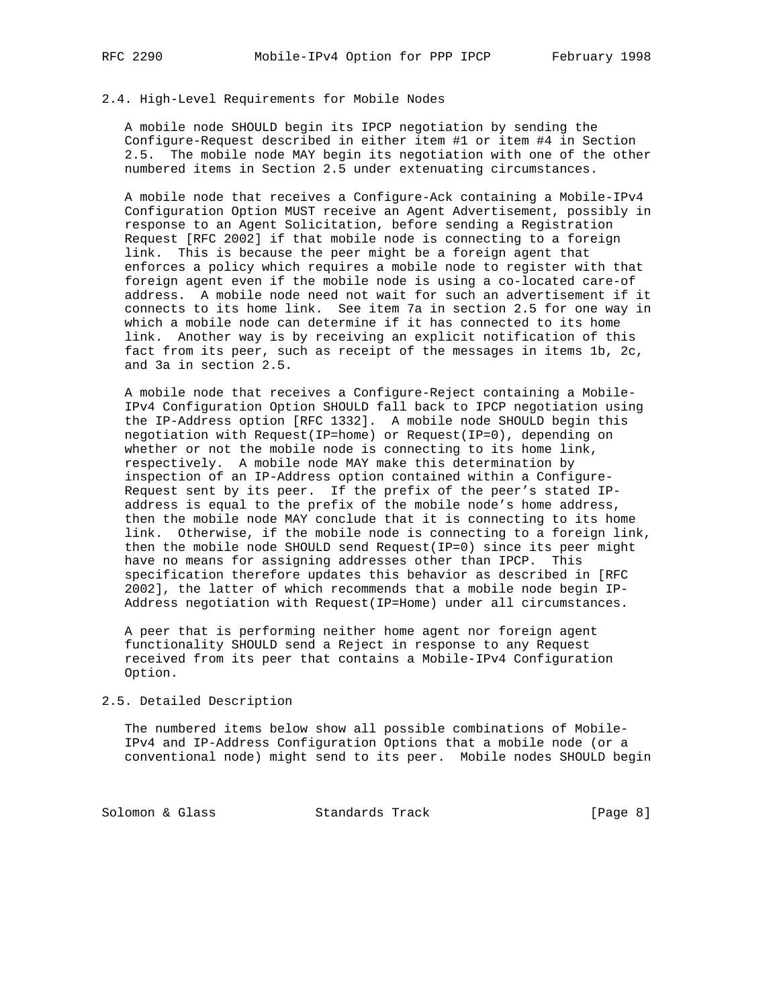## 2.4. High-Level Requirements for Mobile Nodes

 A mobile node SHOULD begin its IPCP negotiation by sending the Configure-Request described in either item #1 or item #4 in Section 2.5. The mobile node MAY begin its negotiation with one of the other numbered items in Section 2.5 under extenuating circumstances.

 A mobile node that receives a Configure-Ack containing a Mobile-IPv4 Configuration Option MUST receive an Agent Advertisement, possibly in response to an Agent Solicitation, before sending a Registration Request [RFC 2002] if that mobile node is connecting to a foreign link. This is because the peer might be a foreign agent that enforces a policy which requires a mobile node to register with that foreign agent even if the mobile node is using a co-located care-of address. A mobile node need not wait for such an advertisement if it connects to its home link. See item 7a in section 2.5 for one way in which a mobile node can determine if it has connected to its home link. Another way is by receiving an explicit notification of this fact from its peer, such as receipt of the messages in items 1b, 2c, and 3a in section 2.5.

 A mobile node that receives a Configure-Reject containing a Mobile- IPv4 Configuration Option SHOULD fall back to IPCP negotiation using the IP-Address option [RFC 1332]. A mobile node SHOULD begin this negotiation with Request(IP=home) or Request(IP=0), depending on whether or not the mobile node is connecting to its home link, respectively. A mobile node MAY make this determination by inspection of an IP-Address option contained within a Configure- Request sent by its peer. If the prefix of the peer's stated IP address is equal to the prefix of the mobile node's home address, then the mobile node MAY conclude that it is connecting to its home link. Otherwise, if the mobile node is connecting to a foreign link, then the mobile node SHOULD send Request(IP=0) since its peer might have no means for assigning addresses other than IPCP. This specification therefore updates this behavior as described in [RFC 2002], the latter of which recommends that a mobile node begin IP- Address negotiation with Request(IP=Home) under all circumstances.

 A peer that is performing neither home agent nor foreign agent functionality SHOULD send a Reject in response to any Request received from its peer that contains a Mobile-IPv4 Configuration Option.

### 2.5. Detailed Description

 The numbered items below show all possible combinations of Mobile- IPv4 and IP-Address Configuration Options that a mobile node (or a conventional node) might send to its peer. Mobile nodes SHOULD begin

Solomon & Glass Standards Track [Page 8]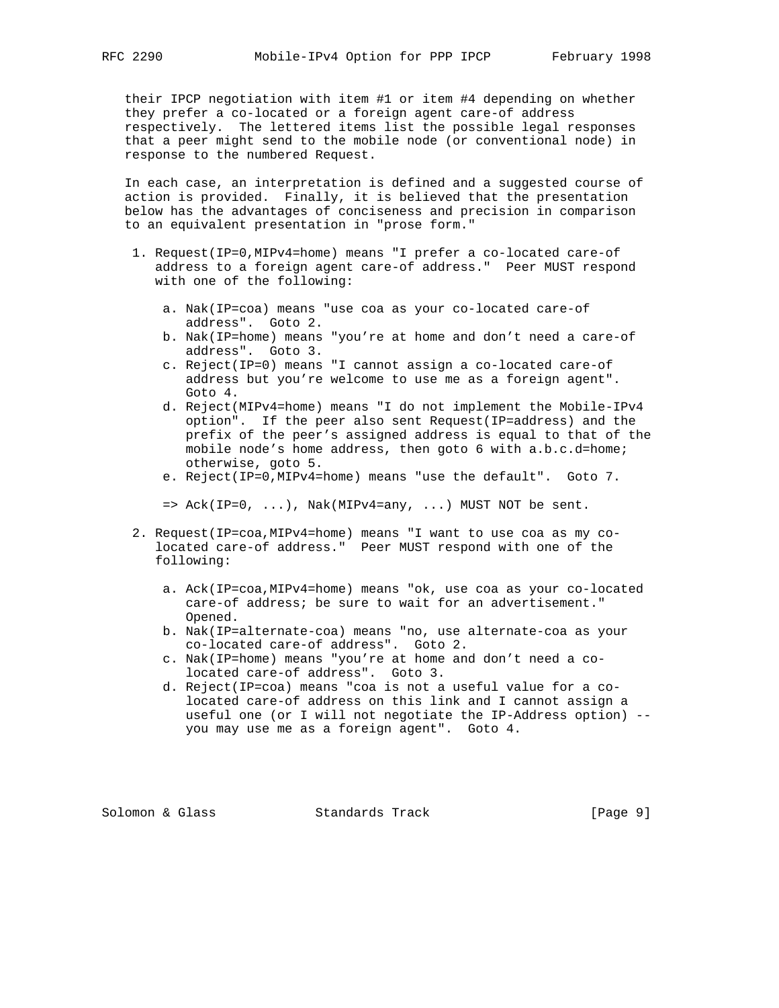their IPCP negotiation with item #1 or item #4 depending on whether they prefer a co-located or a foreign agent care-of address respectively. The lettered items list the possible legal responses that a peer might send to the mobile node (or conventional node) in response to the numbered Request.

 In each case, an interpretation is defined and a suggested course of action is provided. Finally, it is believed that the presentation below has the advantages of conciseness and precision in comparison to an equivalent presentation in "prose form."

- 1. Request(IP=0,MIPv4=home) means "I prefer a co-located care-of address to a foreign agent care-of address." Peer MUST respond with one of the following:
	- a. Nak(IP=coa) means "use coa as your co-located care-of address". Goto 2.
	- b. Nak(IP=home) means "you're at home and don't need a care-of address". Goto 3.
	- c. Reject(IP=0) means "I cannot assign a co-located care-of address but you're welcome to use me as a foreign agent". Goto 4.
	- d. Reject(MIPv4=home) means "I do not implement the Mobile-IPv4 option". If the peer also sent Request(IP=address) and the prefix of the peer's assigned address is equal to that of the mobile node's home address, then goto 6 with a.b.c.d=home; otherwise, goto 5.
	- e. Reject(IP=0,MIPv4=home) means "use the default". Goto 7.

 $\Rightarrow$  Ack(IP=0, ...), Nak(MIPv4=any, ...) MUST NOT be sent.

- 2. Request(IP=coa,MIPv4=home) means "I want to use coa as my co located care-of address." Peer MUST respond with one of the following:
	- a. Ack(IP=coa,MIPv4=home) means "ok, use coa as your co-located care-of address; be sure to wait for an advertisement." Opened.
	- b. Nak(IP=alternate-coa) means "no, use alternate-coa as your co-located care-of address". Goto 2.
	- c. Nak(IP=home) means "you're at home and don't need a co located care-of address". Goto 3.
	- d. Reject(IP=coa) means "coa is not a useful value for a co located care-of address on this link and I cannot assign a useful one (or I will not negotiate the IP-Address option) - you may use me as a foreign agent". Goto 4.

Solomon & Glass Standards Track [Page 9]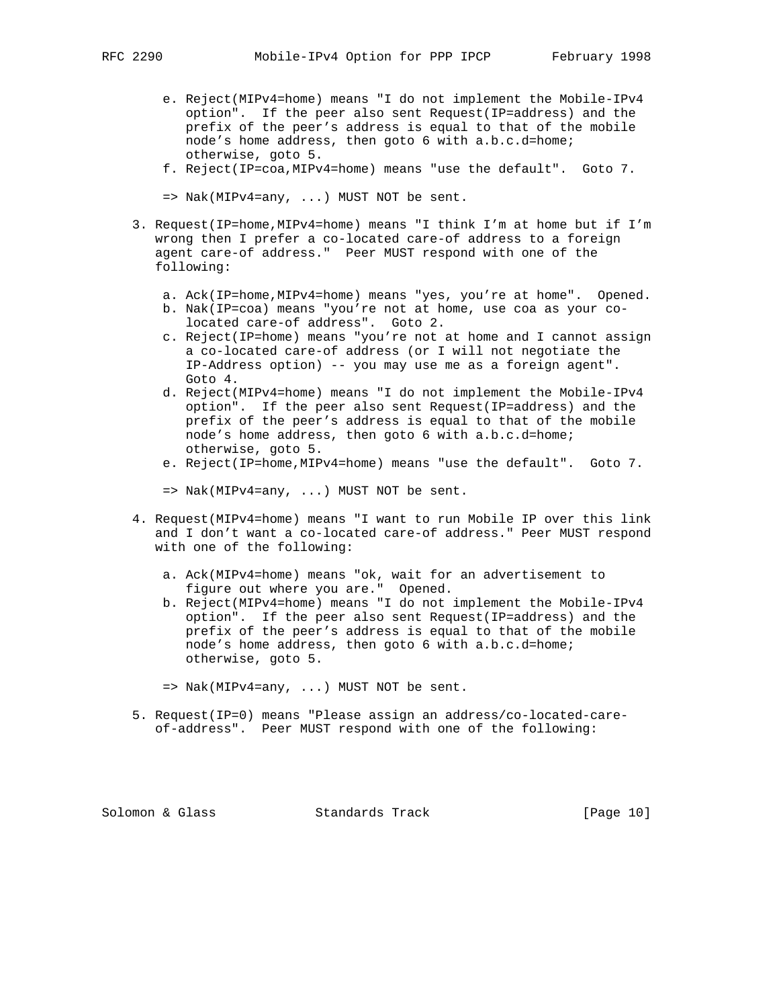- e. Reject(MIPv4=home) means "I do not implement the Mobile-IPv4 option". If the peer also sent Request(IP=address) and the prefix of the peer's address is equal to that of the mobile node's home address, then goto 6 with a.b.c.d=home; otherwise, goto 5.
- f. Reject(IP=coa,MIPv4=home) means "use the default". Goto 7.
- $\Rightarrow$  Nak(MIPv4=any, ...) MUST NOT be sent.
- 3. Request(IP=home,MIPv4=home) means "I think I'm at home but if I'm wrong then I prefer a co-located care-of address to a foreign agent care-of address." Peer MUST respond with one of the following:
	- a. Ack(IP=home,MIPv4=home) means "yes, you're at home". Opened.
	- b. Nak(IP=coa) means "you're not at home, use coa as your co located care-of address". Goto 2.
	- c. Reject(IP=home) means "you're not at home and I cannot assign a co-located care-of address (or I will not negotiate the IP-Address option) -- you may use me as a foreign agent". Goto 4.
	- d. Reject(MIPv4=home) means "I do not implement the Mobile-IPv4 option". If the peer also sent Request(IP=address) and the prefix of the peer's address is equal to that of the mobile node's home address, then goto 6 with a.b.c.d=home; otherwise, goto 5.
	- e. Reject(IP=home,MIPv4=home) means "use the default". Goto 7.
	- => Nak(MIPv4=any, ...) MUST NOT be sent.
- 4. Request(MIPv4=home) means "I want to run Mobile IP over this link and I don't want a co-located care-of address." Peer MUST respond with one of the following:
	- a. Ack(MIPv4=home) means "ok, wait for an advertisement to figure out where you are." Opened.
	- b. Reject(MIPv4=home) means "I do not implement the Mobile-IPv4 option". If the peer also sent Request(IP=address) and the prefix of the peer's address is equal to that of the mobile node's home address, then goto 6 with a.b.c.d=home; otherwise, goto 5.

 5. Request(IP=0) means "Please assign an address/co-located-care of-address". Peer MUST respond with one of the following:

Solomon & Glass Standards Track [Page 10]

 <sup>=&</sup>gt; Nak(MIPv4=any, ...) MUST NOT be sent.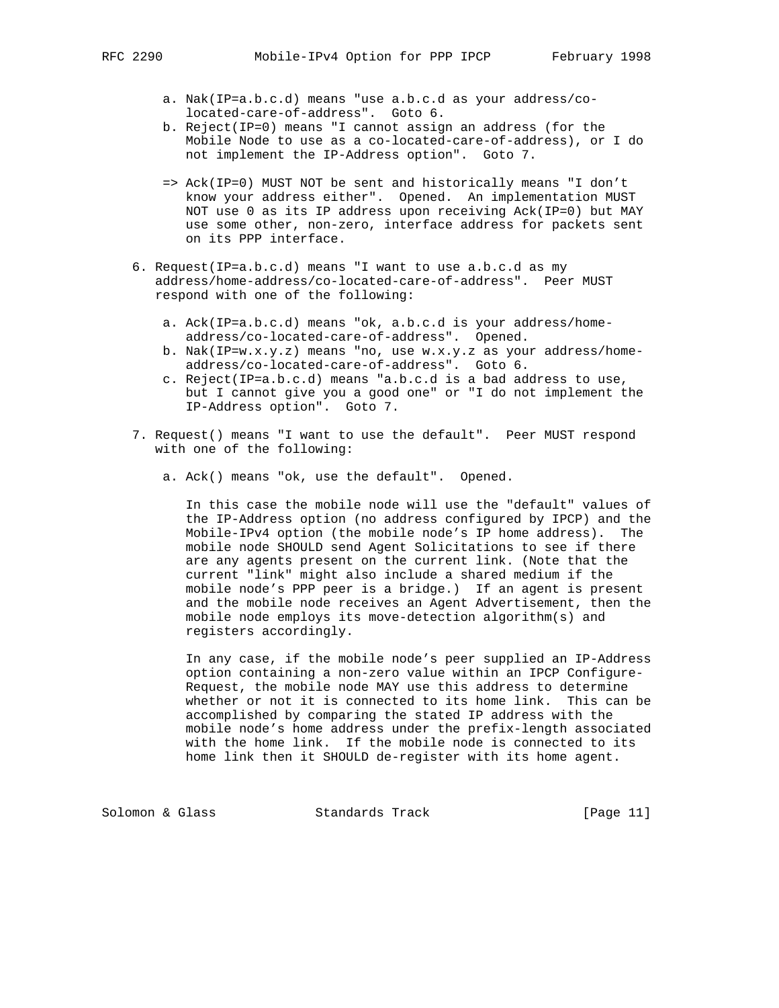- a. Nak(IP=a.b.c.d) means "use a.b.c.d as your address/co located-care-of-address". Goto 6.
- b. Reject(IP=0) means "I cannot assign an address (for the Mobile Node to use as a co-located-care-of-address), or I do not implement the IP-Address option". Goto 7.
- => Ack(IP=0) MUST NOT be sent and historically means "I don't know your address either". Opened. An implementation MUST NOT use 0 as its IP address upon receiving Ack(IP=0) but MAY use some other, non-zero, interface address for packets sent on its PPP interface.
- 6. Request(IP=a.b.c.d) means "I want to use a.b.c.d as my address/home-address/co-located-care-of-address". Peer MUST respond with one of the following:
	- a. Ack(IP=a.b.c.d) means "ok, a.b.c.d is your address/home address/co-located-care-of-address". Opened.
	- b. Nak(IP=w.x.y.z) means "no, use w.x.y.z as your address/home address/co-located-care-of-address". Goto 6.
	- c. Reject(IP=a.b.c.d) means "a.b.c.d is a bad address to use, but I cannot give you a good one" or "I do not implement the IP-Address option". Goto 7.
- 7. Request() means "I want to use the default". Peer MUST respond with one of the following:
	- a. Ack() means "ok, use the default". Opened.

 In this case the mobile node will use the "default" values of the IP-Address option (no address configured by IPCP) and the Mobile-IPv4 option (the mobile node's IP home address). The mobile node SHOULD send Agent Solicitations to see if there are any agents present on the current link. (Note that the current "link" might also include a shared medium if the mobile node's PPP peer is a bridge.) If an agent is present and the mobile node receives an Agent Advertisement, then the mobile node employs its move-detection algorithm(s) and registers accordingly.

 In any case, if the mobile node's peer supplied an IP-Address option containing a non-zero value within an IPCP Configure- Request, the mobile node MAY use this address to determine whether or not it is connected to its home link. This can be accomplished by comparing the stated IP address with the mobile node's home address under the prefix-length associated with the home link. If the mobile node is connected to its home link then it SHOULD de-register with its home agent.

Solomon & Glass Standards Track [Page 11]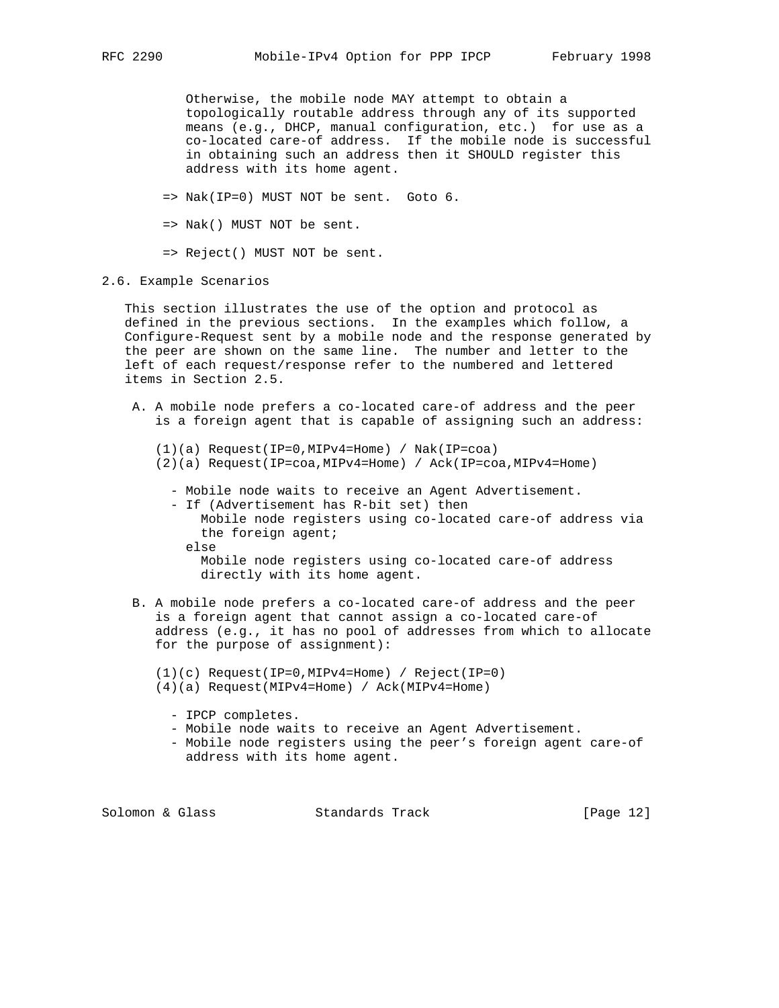Otherwise, the mobile node MAY attempt to obtain a topologically routable address through any of its supported means (e.g., DHCP, manual configuration, etc.) for use as a co-located care-of address. If the mobile node is successful in obtaining such an address then it SHOULD register this address with its home agent.

- => Nak(IP=0) MUST NOT be sent. Goto 6.
- => Nak() MUST NOT be sent.

=> Reject() MUST NOT be sent.

## 2.6. Example Scenarios

 This section illustrates the use of the option and protocol as defined in the previous sections. In the examples which follow, a Configure-Request sent by a mobile node and the response generated by the peer are shown on the same line. The number and letter to the left of each request/response refer to the numbered and lettered items in Section 2.5.

- A. A mobile node prefers a co-located care-of address and the peer is a foreign agent that is capable of assigning such an address:
	- (1)(a) Request(IP=0,MIPv4=Home) / Nak(IP=coa)
	- (2)(a) Request(IP=coa,MIPv4=Home) / Ack(IP=coa,MIPv4=Home)
		- Mobile node waits to receive an Agent Advertisement.
		- If (Advertisement has R-bit set) then
			- Mobile node registers using co-located care-of address via the foreign agent; else

 Mobile node registers using co-located care-of address directly with its home agent.

- B. A mobile node prefers a co-located care-of address and the peer is a foreign agent that cannot assign a co-located care-of address (e.g., it has no pool of addresses from which to allocate for the purpose of assignment):
	- (1)(c) Request(IP=0,MIPv4=Home) / Reject(IP=0)
	- (4)(a) Request(MIPv4=Home) / Ack(MIPv4=Home)
		- IPCP completes.
		- Mobile node waits to receive an Agent Advertisement.
		- Mobile node registers using the peer's foreign agent care-of address with its home agent.

Solomon & Glass Standards Track [Page 12]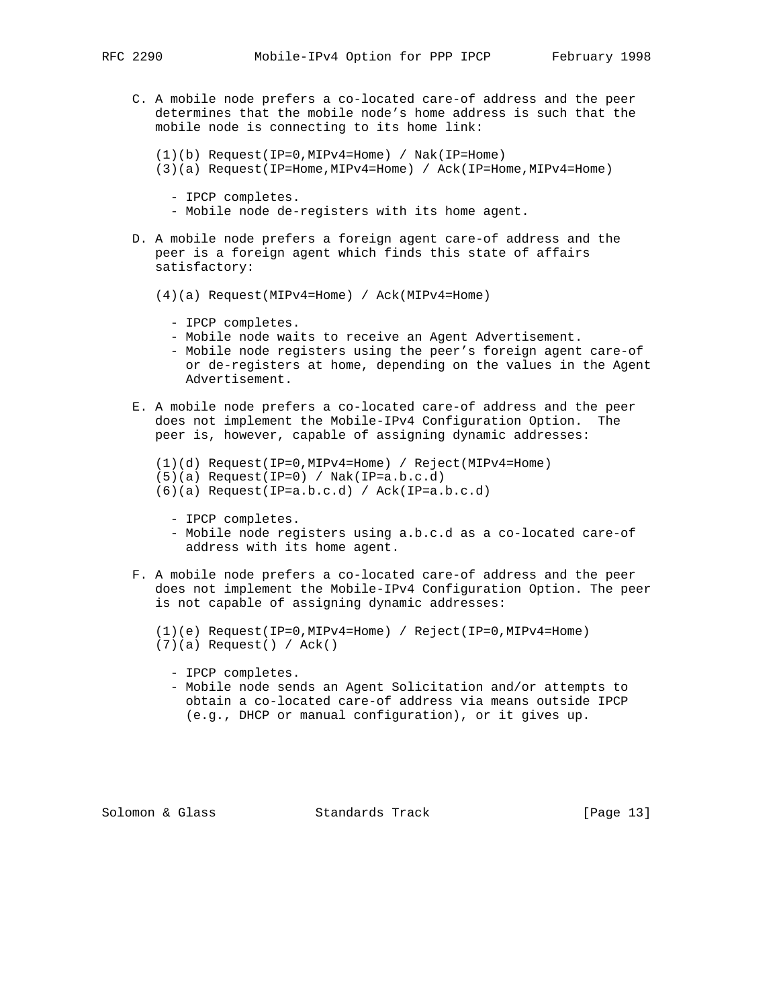- - C. A mobile node prefers a co-located care-of address and the peer determines that the mobile node's home address is such that the mobile node is connecting to its home link:
		- (1)(b) Request(IP=0,MIPv4=Home) / Nak(IP=Home)
		- (3)(a) Request(IP=Home,MIPv4=Home) / Ack(IP=Home,MIPv4=Home)
			- IPCP completes.
			- Mobile node de-registers with its home agent.
	- D. A mobile node prefers a foreign agent care-of address and the peer is a foreign agent which finds this state of affairs satisfactory:
		- (4)(a) Request(MIPv4=Home) / Ack(MIPv4=Home)
			- IPCP completes.
			- Mobile node waits to receive an Agent Advertisement.
			- Mobile node registers using the peer's foreign agent care-of or de-registers at home, depending on the values in the Agent Advertisement.
	- E. A mobile node prefers a co-located care-of address and the peer does not implement the Mobile-IPv4 Configuration Option. The peer is, however, capable of assigning dynamic addresses:
		- (1)(d) Request(IP=0,MIPv4=Home) / Reject(MIPv4=Home)
		- (5)(a) Request(IP=0) / Nak(IP=a.b.c.d)
		- (6)(a) Request(IP=a.b.c.d) / Ack(IP=a.b.c.d)
			- IPCP completes.
			- Mobile node registers using a.b.c.d as a co-located care-of address with its home agent.
	- F. A mobile node prefers a co-located care-of address and the peer does not implement the Mobile-IPv4 Configuration Option. The peer is not capable of assigning dynamic addresses:
		- (1)(e) Request(IP=0,MIPv4=Home) / Reject(IP=0,MIPv4=Home) (7)(a) Request() / Ack()
			- IPCP completes.
			- Mobile node sends an Agent Solicitation and/or attempts to obtain a co-located care-of address via means outside IPCP (e.g., DHCP or manual configuration), or it gives up.

Solomon & Glass Standards Track [Page 13]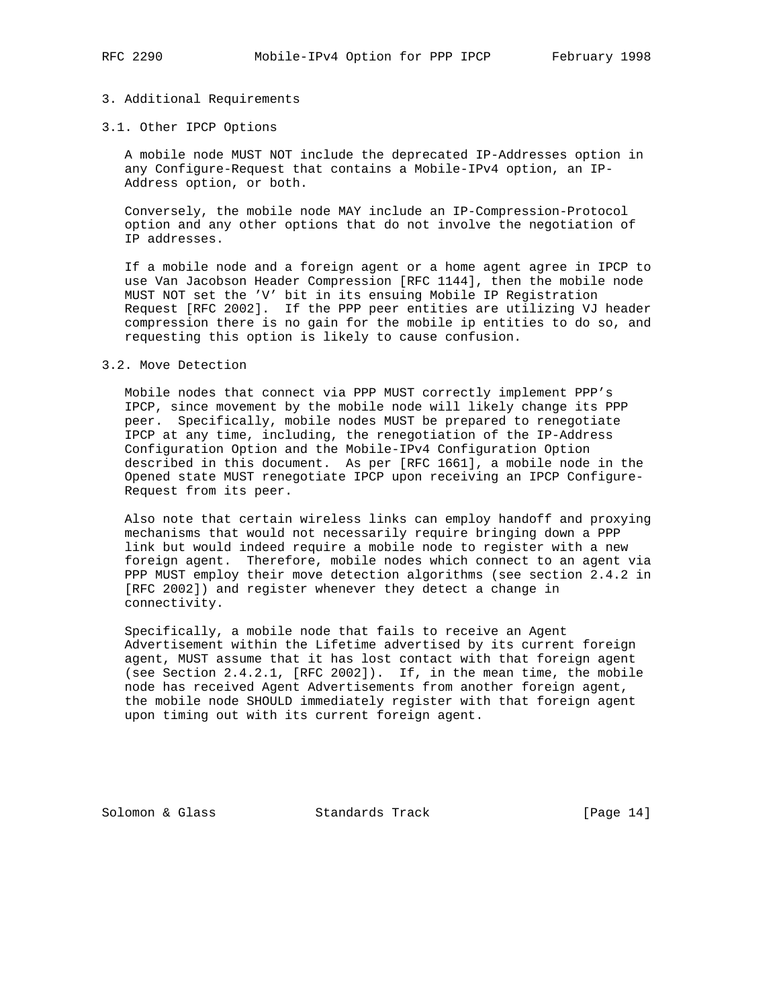## 3. Additional Requirements

## 3.1. Other IPCP Options

 A mobile node MUST NOT include the deprecated IP-Addresses option in any Configure-Request that contains a Mobile-IPv4 option, an IP- Address option, or both.

 Conversely, the mobile node MAY include an IP-Compression-Protocol option and any other options that do not involve the negotiation of IP addresses.

 If a mobile node and a foreign agent or a home agent agree in IPCP to use Van Jacobson Header Compression [RFC 1144], then the mobile node MUST NOT set the 'V' bit in its ensuing Mobile IP Registration Request [RFC 2002]. If the PPP peer entities are utilizing VJ header compression there is no gain for the mobile ip entities to do so, and requesting this option is likely to cause confusion.

#### 3.2. Move Detection

 Mobile nodes that connect via PPP MUST correctly implement PPP's IPCP, since movement by the mobile node will likely change its PPP peer. Specifically, mobile nodes MUST be prepared to renegotiate IPCP at any time, including, the renegotiation of the IP-Address Configuration Option and the Mobile-IPv4 Configuration Option described in this document. As per [RFC 1661], a mobile node in the Opened state MUST renegotiate IPCP upon receiving an IPCP Configure- Request from its peer.

 Also note that certain wireless links can employ handoff and proxying mechanisms that would not necessarily require bringing down a PPP link but would indeed require a mobile node to register with a new foreign agent. Therefore, mobile nodes which connect to an agent via PPP MUST employ their move detection algorithms (see section 2.4.2 in [RFC 2002]) and register whenever they detect a change in connectivity.

 Specifically, a mobile node that fails to receive an Agent Advertisement within the Lifetime advertised by its current foreign agent, MUST assume that it has lost contact with that foreign agent (see Section 2.4.2.1, [RFC 2002]). If, in the mean time, the mobile node has received Agent Advertisements from another foreign agent, the mobile node SHOULD immediately register with that foreign agent upon timing out with its current foreign agent.

Solomon & Glass Standards Track [Page 14]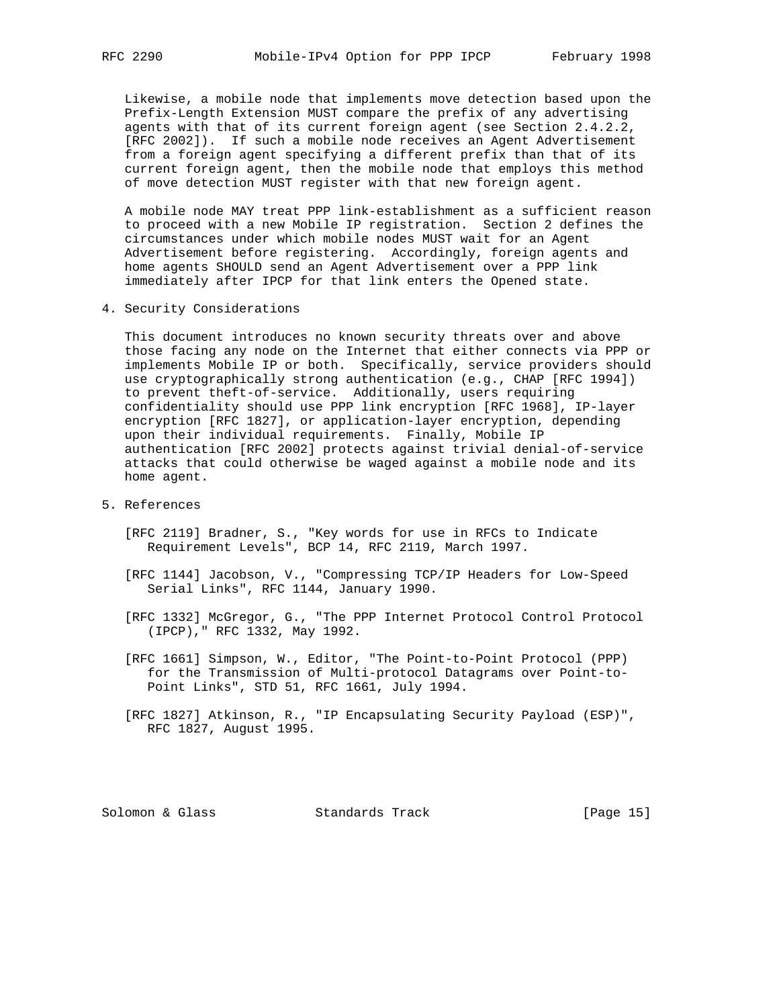Likewise, a mobile node that implements move detection based upon the Prefix-Length Extension MUST compare the prefix of any advertising agents with that of its current foreign agent (see Section 2.4.2.2, [RFC 2002]). If such a mobile node receives an Agent Advertisement from a foreign agent specifying a different prefix than that of its current foreign agent, then the mobile node that employs this method of move detection MUST register with that new foreign agent.

 A mobile node MAY treat PPP link-establishment as a sufficient reason to proceed with a new Mobile IP registration. Section 2 defines the circumstances under which mobile nodes MUST wait for an Agent Advertisement before registering. Accordingly, foreign agents and home agents SHOULD send an Agent Advertisement over a PPP link immediately after IPCP for that link enters the Opened state.

4. Security Considerations

 This document introduces no known security threats over and above those facing any node on the Internet that either connects via PPP or implements Mobile IP or both. Specifically, service providers should use cryptographically strong authentication (e.g., CHAP [RFC 1994]) to prevent theft-of-service. Additionally, users requiring confidentiality should use PPP link encryption [RFC 1968], IP-layer encryption [RFC 1827], or application-layer encryption, depending upon their individual requirements. Finally, Mobile IP authentication [RFC 2002] protects against trivial denial-of-service attacks that could otherwise be waged against a mobile node and its home agent.

- 5. References
	- [RFC 2119] Bradner, S., "Key words for use in RFCs to Indicate Requirement Levels", BCP 14, RFC 2119, March 1997.
	- [RFC 1144] Jacobson, V., "Compressing TCP/IP Headers for Low-Speed Serial Links", RFC 1144, January 1990.
	- [RFC 1332] McGregor, G., "The PPP Internet Protocol Control Protocol (IPCP)," RFC 1332, May 1992.
	- [RFC 1661] Simpson, W., Editor, "The Point-to-Point Protocol (PPP) for the Transmission of Multi-protocol Datagrams over Point-to- Point Links", STD 51, RFC 1661, July 1994.
	- [RFC 1827] Atkinson, R., "IP Encapsulating Security Payload (ESP)", RFC 1827, August 1995.

Solomon & Glass Standards Track [Page 15]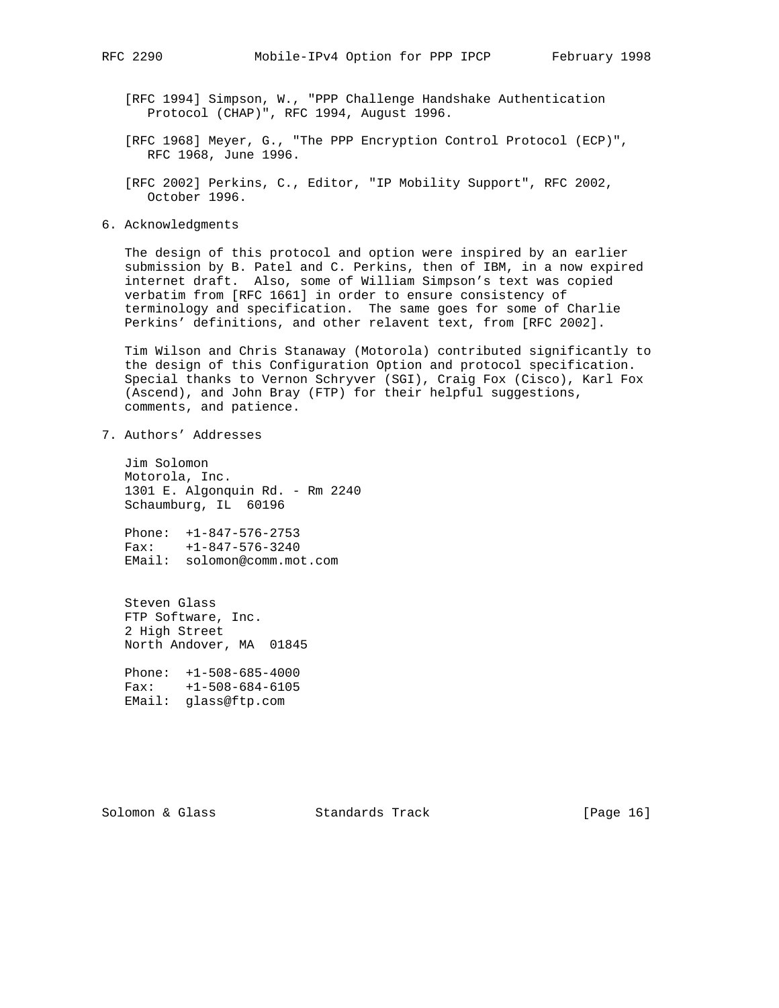[RFC 1994] Simpson, W., "PPP Challenge Handshake Authentication Protocol (CHAP)", RFC 1994, August 1996.

- [RFC 1968] Meyer, G., "The PPP Encryption Control Protocol (ECP)", RFC 1968, June 1996.
- [RFC 2002] Perkins, C., Editor, "IP Mobility Support", RFC 2002, October 1996.
- 6. Acknowledgments

 The design of this protocol and option were inspired by an earlier submission by B. Patel and C. Perkins, then of IBM, in a now expired internet draft. Also, some of William Simpson's text was copied verbatim from [RFC 1661] in order to ensure consistency of terminology and specification. The same goes for some of Charlie Perkins' definitions, and other relavent text, from [RFC 2002].

 Tim Wilson and Chris Stanaway (Motorola) contributed significantly to the design of this Configuration Option and protocol specification. Special thanks to Vernon Schryver (SGI), Craig Fox (Cisco), Karl Fox (Ascend), and John Bray (FTP) for their helpful suggestions, comments, and patience.

7. Authors' Addresses

 Jim Solomon Motorola, Inc. 1301 E. Algonquin Rd. - Rm 2240 Schaumburg, IL 60196

 Phone: +1-847-576-2753 Fax: +1-847-576-3240 EMail: solomon@comm.mot.com

 Steven Glass FTP Software, Inc. 2 High Street North Andover, MA 01845

 Phone: +1-508-685-4000 Fax: +1-508-684-6105 EMail: glass@ftp.com

Solomon & Glass Standards Track [Page 16]